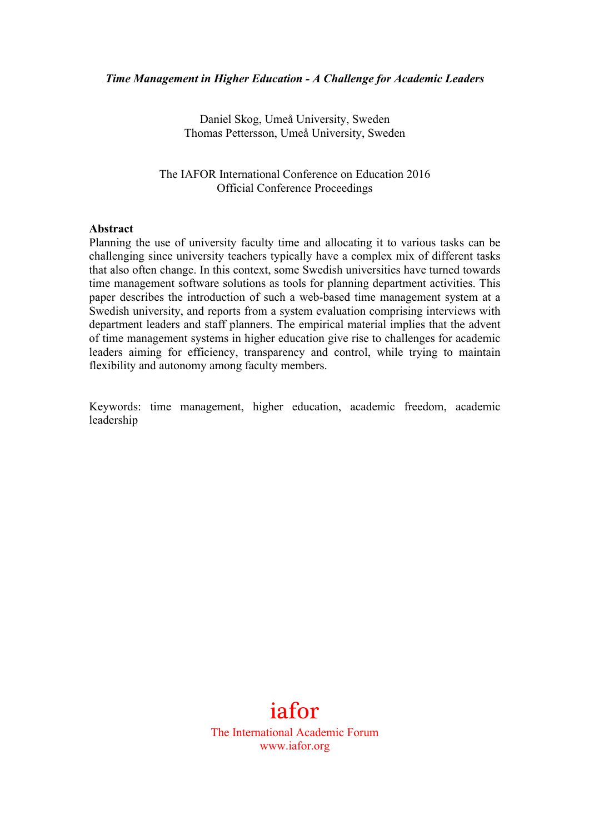Daniel Skog, Umeå University, Sweden Thomas Pettersson, Umeå University, Sweden

The IAFOR International Conference on Education 2016 Official Conference Proceedings

#### **Abstract**

Planning the use of university faculty time and allocating it to various tasks can be challenging since university teachers typically have a complex mix of different tasks that also often change. In this context, some Swedish universities have turned towards time management software solutions as tools for planning department activities. This paper describes the introduction of such a web-based time management system at a Swedish university, and reports from a system evaluation comprising interviews with department leaders and staff planners. The empirical material implies that the advent of time management systems in higher education give rise to challenges for academic leaders aiming for efficiency, transparency and control, while trying to maintain flexibility and autonomy among faculty members.

Keywords: time management, higher education, academic freedom, academic leadership

# iafor

The International Academic Forum www.iafor.org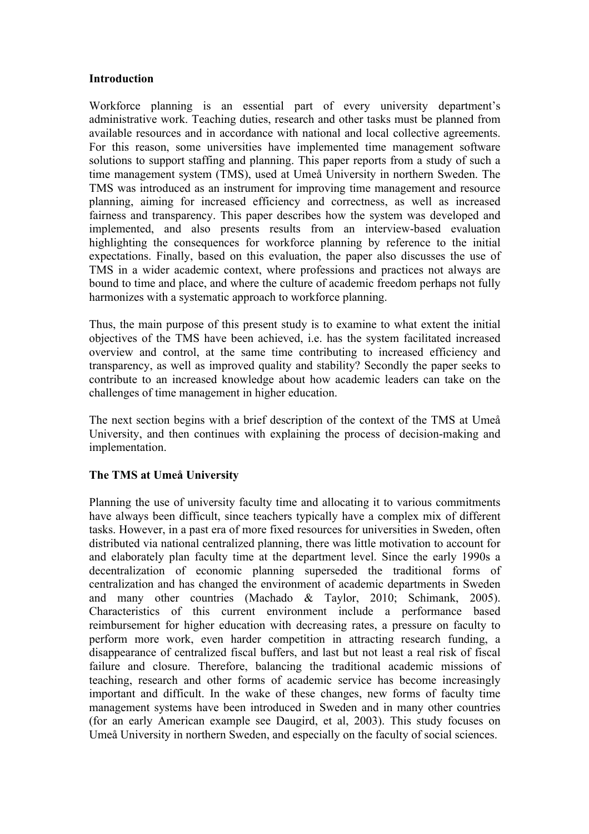#### **Introduction**

Workforce planning is an essential part of every university department's administrative work. Teaching duties, research and other tasks must be planned from available resources and in accordance with national and local collective agreements. For this reason, some universities have implemented time management software solutions to support staffing and planning. This paper reports from a study of such a time management system (TMS), used at Umeå University in northern Sweden. The TMS was introduced as an instrument for improving time management and resource planning, aiming for increased efficiency and correctness, as well as increased fairness and transparency. This paper describes how the system was developed and implemented, and also presents results from an interview-based evaluation highlighting the consequences for workforce planning by reference to the initial expectations. Finally, based on this evaluation, the paper also discusses the use of TMS in a wider academic context, where professions and practices not always are bound to time and place, and where the culture of academic freedom perhaps not fully harmonizes with a systematic approach to workforce planning.

Thus, the main purpose of this present study is to examine to what extent the initial objectives of the TMS have been achieved, i.e. has the system facilitated increased overview and control, at the same time contributing to increased efficiency and transparency, as well as improved quality and stability? Secondly the paper seeks to contribute to an increased knowledge about how academic leaders can take on the challenges of time management in higher education.

The next section begins with a brief description of the context of the TMS at Umeå University, and then continues with explaining the process of decision-making and implementation.

# **The TMS at Umeå University**

Planning the use of university faculty time and allocating it to various commitments have always been difficult, since teachers typically have a complex mix of different tasks. However, in a past era of more fixed resources for universities in Sweden, often distributed via national centralized planning, there was little motivation to account for and elaborately plan faculty time at the department level. Since the early 1990s a decentralization of economic planning superseded the traditional forms of centralization and has changed the environment of academic departments in Sweden and many other countries (Machado & Taylor, 2010; Schimank, 2005). Characteristics of this current environment include a performance based reimbursement for higher education with decreasing rates, a pressure on faculty to perform more work, even harder competition in attracting research funding, a disappearance of centralized fiscal buffers, and last but not least a real risk of fiscal failure and closure. Therefore, balancing the traditional academic missions of teaching, research and other forms of academic service has become increasingly important and difficult. In the wake of these changes, new forms of faculty time management systems have been introduced in Sweden and in many other countries (for an early American example see Daugird, et al, 2003). This study focuses on Umeå University in northern Sweden, and especially on the faculty of social sciences.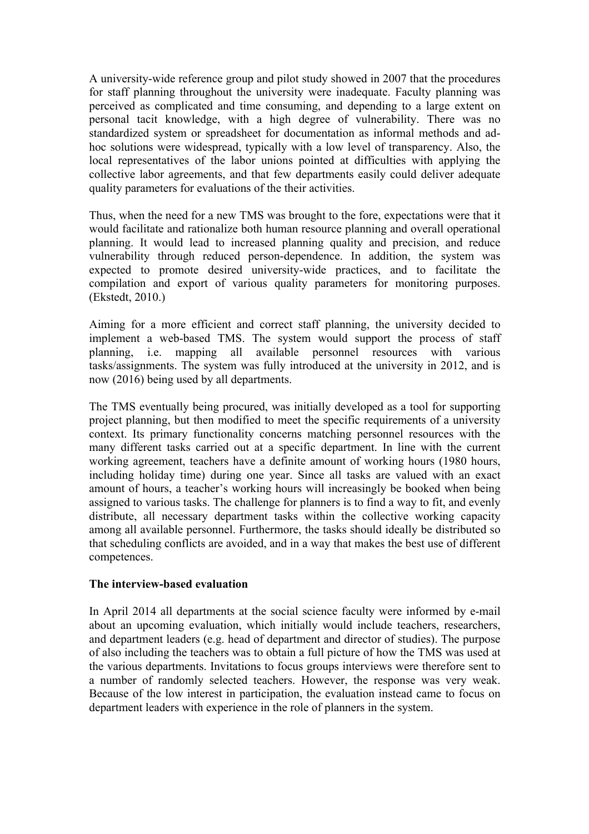A university-wide reference group and pilot study showed in 2007 that the procedures for staff planning throughout the university were inadequate. Faculty planning was perceived as complicated and time consuming, and depending to a large extent on personal tacit knowledge, with a high degree of vulnerability. There was no standardized system or spreadsheet for documentation as informal methods and adhoc solutions were widespread, typically with a low level of transparency. Also, the local representatives of the labor unions pointed at difficulties with applying the collective labor agreements, and that few departments easily could deliver adequate quality parameters for evaluations of the their activities.

Thus, when the need for a new TMS was brought to the fore, expectations were that it would facilitate and rationalize both human resource planning and overall operational planning. It would lead to increased planning quality and precision, and reduce vulnerability through reduced person-dependence. In addition, the system was expected to promote desired university-wide practices, and to facilitate the compilation and export of various quality parameters for monitoring purposes. (Ekstedt, 2010.)

Aiming for a more efficient and correct staff planning, the university decided to implement a web-based TMS. The system would support the process of staff planning, i.e. mapping all available personnel resources with various tasks/assignments. The system was fully introduced at the university in 2012, and is now (2016) being used by all departments.

The TMS eventually being procured, was initially developed as a tool for supporting project planning, but then modified to meet the specific requirements of a university context. Its primary functionality concerns matching personnel resources with the many different tasks carried out at a specific department. In line with the current working agreement, teachers have a definite amount of working hours (1980 hours, including holiday time) during one year. Since all tasks are valued with an exact amount of hours, a teacher's working hours will increasingly be booked when being assigned to various tasks. The challenge for planners is to find a way to fit, and evenly distribute, all necessary department tasks within the collective working capacity among all available personnel. Furthermore, the tasks should ideally be distributed so that scheduling conflicts are avoided, and in a way that makes the best use of different competences.

# **The interview-based evaluation**

In April 2014 all departments at the social science faculty were informed by e-mail about an upcoming evaluation, which initially would include teachers, researchers, and department leaders (e.g. head of department and director of studies). The purpose of also including the teachers was to obtain a full picture of how the TMS was used at the various departments. Invitations to focus groups interviews were therefore sent to a number of randomly selected teachers. However, the response was very weak. Because of the low interest in participation, the evaluation instead came to focus on department leaders with experience in the role of planners in the system.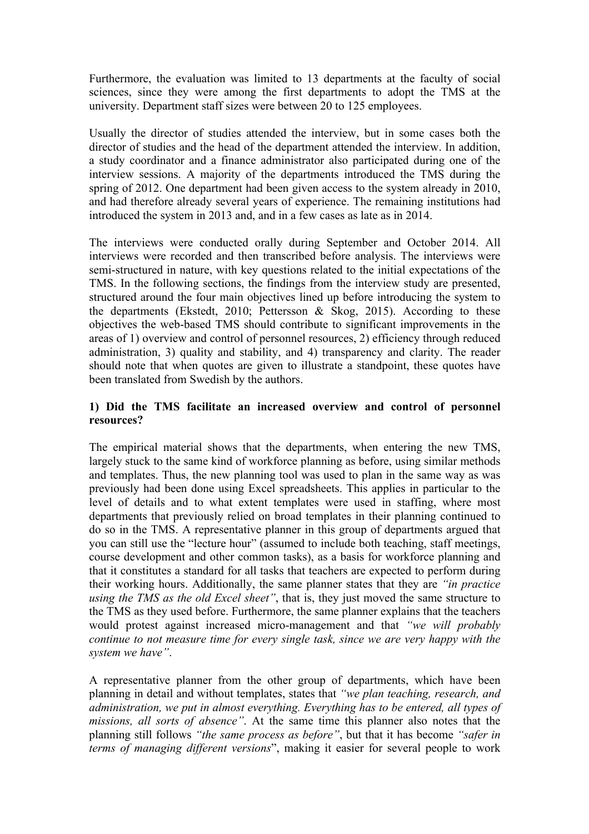Furthermore, the evaluation was limited to 13 departments at the faculty of social sciences, since they were among the first departments to adopt the TMS at the university. Department staff sizes were between 20 to 125 employees.

Usually the director of studies attended the interview, but in some cases both the director of studies and the head of the department attended the interview. In addition, a study coordinator and a finance administrator also participated during one of the interview sessions. A majority of the departments introduced the TMS during the spring of 2012. One department had been given access to the system already in 2010, and had therefore already several years of experience. The remaining institutions had introduced the system in 2013 and, and in a few cases as late as in 2014.

The interviews were conducted orally during September and October 2014. All interviews were recorded and then transcribed before analysis. The interviews were semi-structured in nature, with key questions related to the initial expectations of the TMS. In the following sections, the findings from the interview study are presented, structured around the four main objectives lined up before introducing the system to the departments (Ekstedt, 2010; Pettersson & Skog, 2015). According to these objectives the web-based TMS should contribute to significant improvements in the areas of 1) overview and control of personnel resources, 2) efficiency through reduced administration, 3) quality and stability, and 4) transparency and clarity. The reader should note that when quotes are given to illustrate a standpoint, these quotes have been translated from Swedish by the authors.

#### **1) Did the TMS facilitate an increased overview and control of personnel resources?**

The empirical material shows that the departments, when entering the new TMS, largely stuck to the same kind of workforce planning as before, using similar methods and templates. Thus, the new planning tool was used to plan in the same way as was previously had been done using Excel spreadsheets. This applies in particular to the level of details and to what extent templates were used in staffing, where most departments that previously relied on broad templates in their planning continued to do so in the TMS. A representative planner in this group of departments argued that you can still use the "lecture hour" (assumed to include both teaching, staff meetings, course development and other common tasks), as a basis for workforce planning and that it constitutes a standard for all tasks that teachers are expected to perform during their working hours. Additionally, the same planner states that they are *"in practice using the TMS as the old Excel sheet"*, that is, they just moved the same structure to the TMS as they used before. Furthermore, the same planner explains that the teachers would protest against increased micro-management and that *"we will probably continue to not measure time for every single task, since we are very happy with the system we have"*.

A representative planner from the other group of departments, which have been planning in detail and without templates, states that *"we plan teaching, research, and administration, we put in almost everything. Everything has to be entered, all types of missions, all sorts of absence"*. At the same time this planner also notes that the planning still follows *"the same process as before"*, but that it has become *"safer in terms of managing different versions*", making it easier for several people to work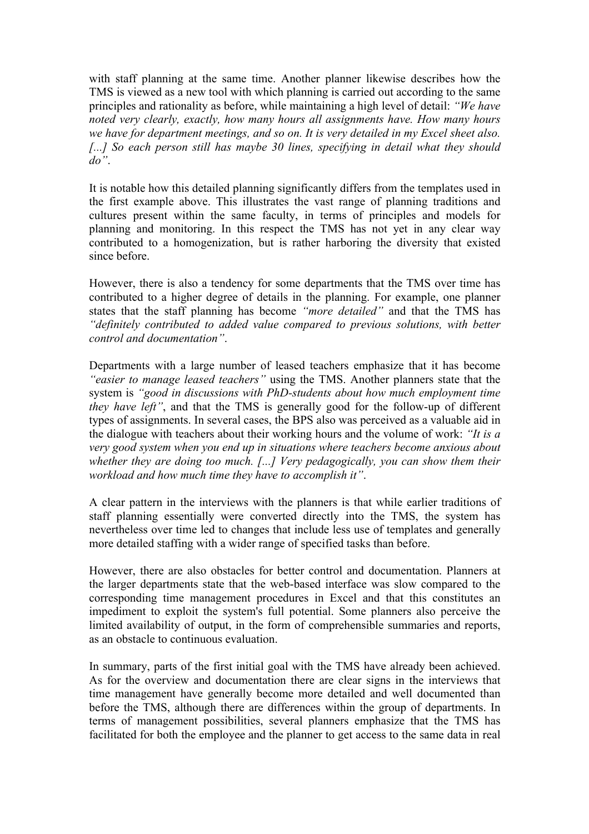with staff planning at the same time. Another planner likewise describes how the TMS is viewed as a new tool with which planning is carried out according to the same principles and rationality as before, while maintaining a high level of detail: *"We have noted very clearly, exactly, how many hours all assignments have. How many hours we have for department meetings, and so on. It is very detailed in my Excel sheet also. [...] So each person still has maybe 30 lines, specifying in detail what they should do"*.

It is notable how this detailed planning significantly differs from the templates used in the first example above. This illustrates the vast range of planning traditions and cultures present within the same faculty, in terms of principles and models for planning and monitoring. In this respect the TMS has not yet in any clear way contributed to a homogenization, but is rather harboring the diversity that existed since before.

However, there is also a tendency for some departments that the TMS over time has contributed to a higher degree of details in the planning. For example, one planner states that the staff planning has become *"more detailed"* and that the TMS has *"definitely contributed to added value compared to previous solutions, with better control and documentation"*.

Departments with a large number of leased teachers emphasize that it has become *"easier to manage leased teachers"* using the TMS. Another planners state that the system is *"good in discussions with PhD-students about how much employment time they have left"*, and that the TMS is generally good for the follow-up of different types of assignments. In several cases, the BPS also was perceived as a valuable aid in the dialogue with teachers about their working hours and the volume of work: *"It is a very good system when you end up in situations where teachers become anxious about whether they are doing too much. [...] Very pedagogically, you can show them their workload and how much time they have to accomplish it"*.

A clear pattern in the interviews with the planners is that while earlier traditions of staff planning essentially were converted directly into the TMS, the system has nevertheless over time led to changes that include less use of templates and generally more detailed staffing with a wider range of specified tasks than before.

However, there are also obstacles for better control and documentation. Planners at the larger departments state that the web-based interface was slow compared to the corresponding time management procedures in Excel and that this constitutes an impediment to exploit the system's full potential. Some planners also perceive the limited availability of output, in the form of comprehensible summaries and reports, as an obstacle to continuous evaluation.

In summary, parts of the first initial goal with the TMS have already been achieved. As for the overview and documentation there are clear signs in the interviews that time management have generally become more detailed and well documented than before the TMS, although there are differences within the group of departments. In terms of management possibilities, several planners emphasize that the TMS has facilitated for both the employee and the planner to get access to the same data in real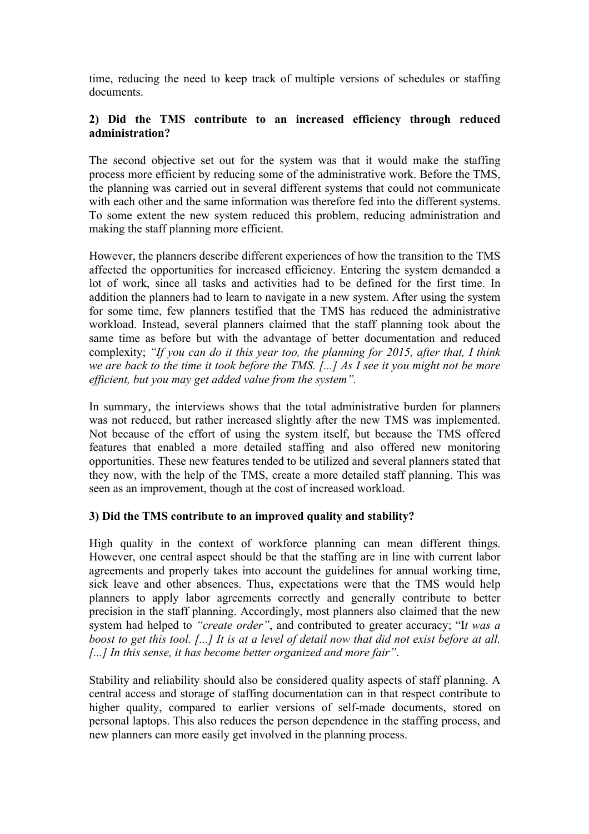time, reducing the need to keep track of multiple versions of schedules or staffing documents.

# **2) Did the TMS contribute to an increased efficiency through reduced administration?**

The second objective set out for the system was that it would make the staffing process more efficient by reducing some of the administrative work. Before the TMS, the planning was carried out in several different systems that could not communicate with each other and the same information was therefore fed into the different systems. To some extent the new system reduced this problem, reducing administration and making the staff planning more efficient.

However, the planners describe different experiences of how the transition to the TMS affected the opportunities for increased efficiency. Entering the system demanded a lot of work, since all tasks and activities had to be defined for the first time. In addition the planners had to learn to navigate in a new system. After using the system for some time, few planners testified that the TMS has reduced the administrative workload. Instead, several planners claimed that the staff planning took about the same time as before but with the advantage of better documentation and reduced complexity; *"If you can do it this year too, the planning for 2015, after that, I think we are back to the time it took before the TMS. [...] As I see it you might not be more efficient, but you may get added value from the system".*

In summary, the interviews shows that the total administrative burden for planners was not reduced, but rather increased slightly after the new TMS was implemented. Not because of the effort of using the system itself, but because the TMS offered features that enabled a more detailed staffing and also offered new monitoring opportunities. These new features tended to be utilized and several planners stated that they now, with the help of the TMS, create a more detailed staff planning. This was seen as an improvement, though at the cost of increased workload.

# **3) Did the TMS contribute to an improved quality and stability?**

High quality in the context of workforce planning can mean different things. However, one central aspect should be that the staffing are in line with current labor agreements and properly takes into account the guidelines for annual working time, sick leave and other absences. Thus, expectations were that the TMS would help planners to apply labor agreements correctly and generally contribute to better precision in the staff planning. Accordingly, most planners also claimed that the new system had helped to *"create order"*, and contributed to greater accuracy; "I*t was a boost to get this tool. [...] It is at a level of detail now that did not exist before at all. [...] In this sense, it has become better organized and more fair"*.

Stability and reliability should also be considered quality aspects of staff planning. A central access and storage of staffing documentation can in that respect contribute to higher quality, compared to earlier versions of self-made documents, stored on personal laptops. This also reduces the person dependence in the staffing process, and new planners can more easily get involved in the planning process.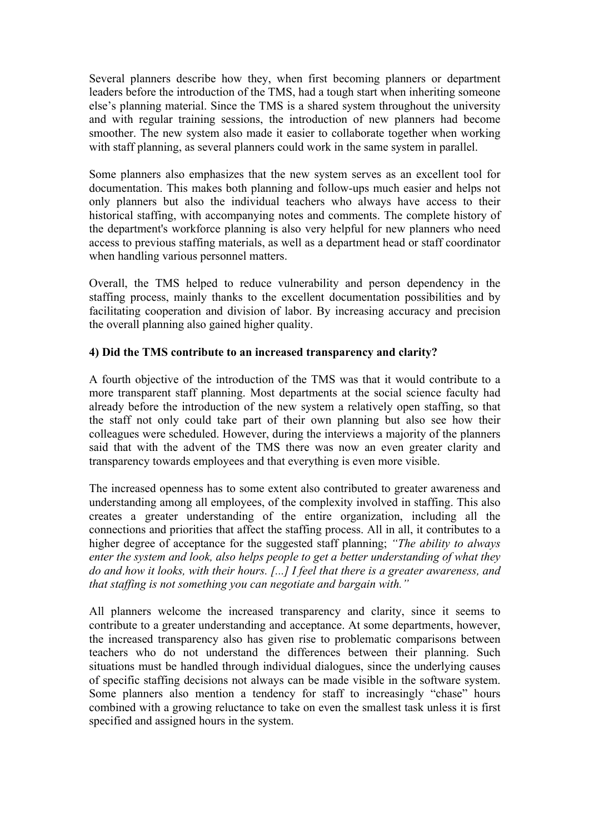Several planners describe how they, when first becoming planners or department leaders before the introduction of the TMS, had a tough start when inheriting someone else's planning material. Since the TMS is a shared system throughout the university and with regular training sessions, the introduction of new planners had become smoother. The new system also made it easier to collaborate together when working with staff planning, as several planners could work in the same system in parallel.

Some planners also emphasizes that the new system serves as an excellent tool for documentation. This makes both planning and follow-ups much easier and helps not only planners but also the individual teachers who always have access to their historical staffing, with accompanying notes and comments. The complete history of the department's workforce planning is also very helpful for new planners who need access to previous staffing materials, as well as a department head or staff coordinator when handling various personnel matters.

Overall, the TMS helped to reduce vulnerability and person dependency in the staffing process, mainly thanks to the excellent documentation possibilities and by facilitating cooperation and division of labor. By increasing accuracy and precision the overall planning also gained higher quality.

# **4) Did the TMS contribute to an increased transparency and clarity?**

A fourth objective of the introduction of the TMS was that it would contribute to a more transparent staff planning. Most departments at the social science faculty had already before the introduction of the new system a relatively open staffing, so that the staff not only could take part of their own planning but also see how their colleagues were scheduled. However, during the interviews a majority of the planners said that with the advent of the TMS there was now an even greater clarity and transparency towards employees and that everything is even more visible.

The increased openness has to some extent also contributed to greater awareness and understanding among all employees, of the complexity involved in staffing. This also creates a greater understanding of the entire organization, including all the connections and priorities that affect the staffing process. All in all, it contributes to a higher degree of acceptance for the suggested staff planning; *"The ability to always enter the system and look, also helps people to get a better understanding of what they do and how it looks, with their hours. [...] I feel that there is a greater awareness, and that staffing is not something you can negotiate and bargain with."*

All planners welcome the increased transparency and clarity, since it seems to contribute to a greater understanding and acceptance. At some departments, however, the increased transparency also has given rise to problematic comparisons between teachers who do not understand the differences between their planning. Such situations must be handled through individual dialogues, since the underlying causes of specific staffing decisions not always can be made visible in the software system. Some planners also mention a tendency for staff to increasingly "chase" hours combined with a growing reluctance to take on even the smallest task unless it is first specified and assigned hours in the system.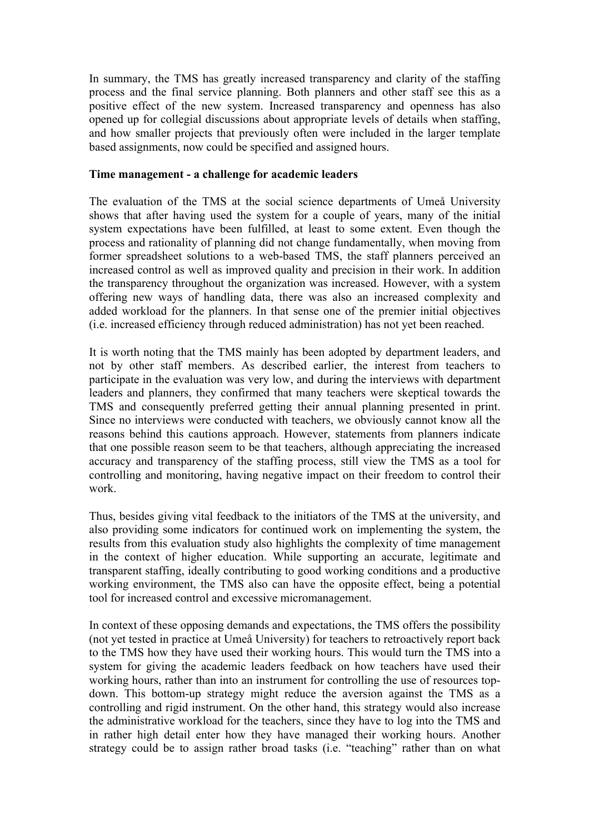In summary, the TMS has greatly increased transparency and clarity of the staffing process and the final service planning. Both planners and other staff see this as a positive effect of the new system. Increased transparency and openness has also opened up for collegial discussions about appropriate levels of details when staffing, and how smaller projects that previously often were included in the larger template based assignments, now could be specified and assigned hours.

#### **Time management - a challenge for academic leaders**

The evaluation of the TMS at the social science departments of Umeå University shows that after having used the system for a couple of years, many of the initial system expectations have been fulfilled, at least to some extent. Even though the process and rationality of planning did not change fundamentally, when moving from former spreadsheet solutions to a web-based TMS, the staff planners perceived an increased control as well as improved quality and precision in their work. In addition the transparency throughout the organization was increased. However, with a system offering new ways of handling data, there was also an increased complexity and added workload for the planners. In that sense one of the premier initial objectives (i.e. increased efficiency through reduced administration) has not yet been reached.

It is worth noting that the TMS mainly has been adopted by department leaders, and not by other staff members. As described earlier, the interest from teachers to participate in the evaluation was very low, and during the interviews with department leaders and planners, they confirmed that many teachers were skeptical towards the TMS and consequently preferred getting their annual planning presented in print. Since no interviews were conducted with teachers, we obviously cannot know all the reasons behind this cautions approach. However, statements from planners indicate that one possible reason seem to be that teachers, although appreciating the increased accuracy and transparency of the staffing process, still view the TMS as a tool for controlling and monitoring, having negative impact on their freedom to control their work.

Thus, besides giving vital feedback to the initiators of the TMS at the university, and also providing some indicators for continued work on implementing the system, the results from this evaluation study also highlights the complexity of time management in the context of higher education. While supporting an accurate, legitimate and transparent staffing, ideally contributing to good working conditions and a productive working environment, the TMS also can have the opposite effect, being a potential tool for increased control and excessive micromanagement.

In context of these opposing demands and expectations, the TMS offers the possibility (not yet tested in practice at Umeå University) for teachers to retroactively report back to the TMS how they have used their working hours. This would turn the TMS into a system for giving the academic leaders feedback on how teachers have used their working hours, rather than into an instrument for controlling the use of resources topdown. This bottom-up strategy might reduce the aversion against the TMS as a controlling and rigid instrument. On the other hand, this strategy would also increase the administrative workload for the teachers, since they have to log into the TMS and in rather high detail enter how they have managed their working hours. Another strategy could be to assign rather broad tasks (i.e. "teaching" rather than on what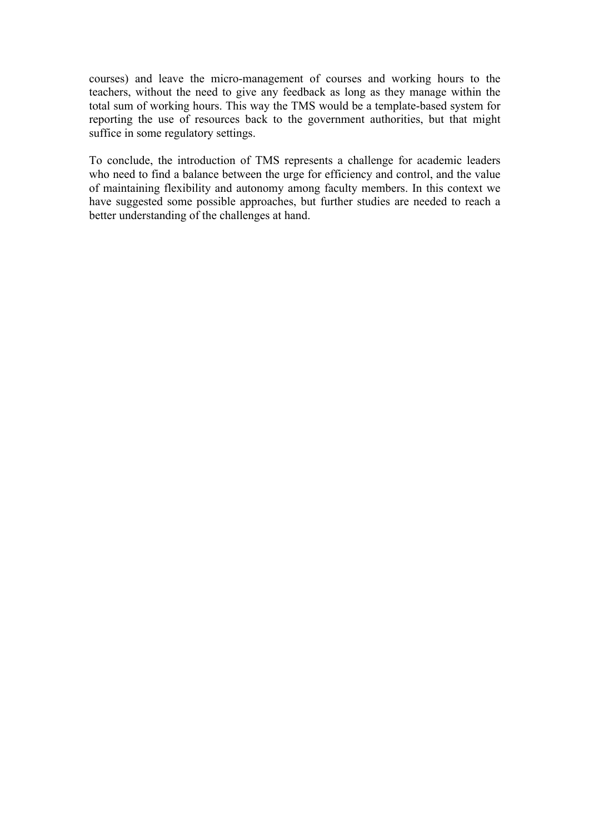courses) and leave the micro-management of courses and working hours to the teachers, without the need to give any feedback as long as they manage within the total sum of working hours. This way the TMS would be a template-based system for reporting the use of resources back to the government authorities, but that might suffice in some regulatory settings.

To conclude, the introduction of TMS represents a challenge for academic leaders who need to find a balance between the urge for efficiency and control, and the value of maintaining flexibility and autonomy among faculty members. In this context we have suggested some possible approaches, but further studies are needed to reach a better understanding of the challenges at hand.